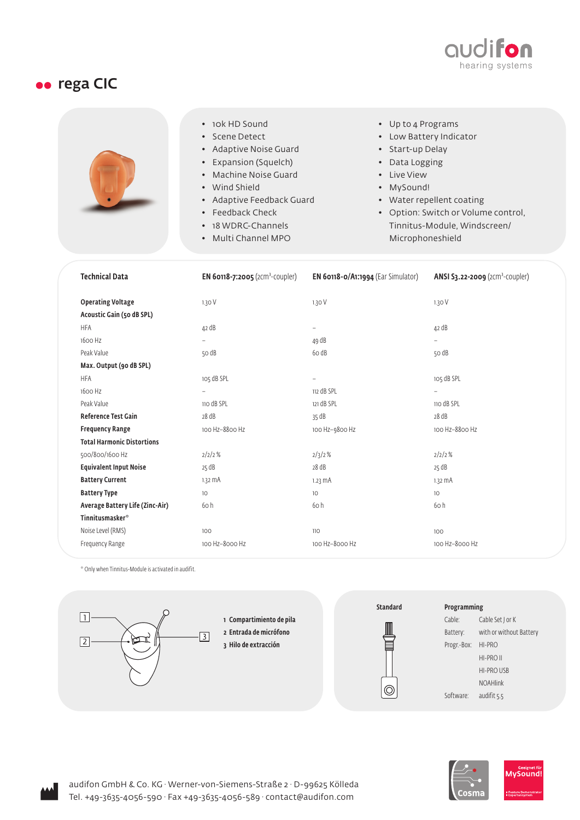

## **ee** rega CIC



- 10k HD Sound
- Scene Detect
- Adaptive Noise Guard
- Expansion (Squelch)
- Machine Noise Guard
- Wind Shield
- Adaptive Feedback Guard
- Feedback Check
- 18 WDRC-Channels
- Multi Channel MPO
- Up to 4 Programs
- Low Battery Indicator
- Start-up Delay
- Data Logging
- Live View
- MySound!
- Water repellent coating
- Option: Switch or Volume control, Tinnitus-Module, Windscreen/ Microphoneshield

| <b>Technical Data</b>                                 | <b>EN 60118-7:2005</b> (2Cm <sup>3</sup> -COUpler) | EN 60118-0/A1:1994 (Ear Simulator) | ANSI S3.22-2009 (2Cm <sup>3</sup> -COUpler) |
|-------------------------------------------------------|----------------------------------------------------|------------------------------------|---------------------------------------------|
| <b>Operating Voltage</b><br>Acoustic Gain (50 dB SPL) | 1.30V                                              | 1.30V                              | 1.30V                                       |
| <b>HFA</b>                                            | 42 dB                                              | $\overline{\phantom{0}}$           | 42 dB                                       |
| 1600 Hz                                               | $\qquad \qquad -$                                  | 49 dB                              | $\overline{\phantom{0}}$                    |
| Peak Value                                            | 50 dB                                              | 60 dB                              | 50 dB                                       |
| Max. Output (90 dB SPL)                               |                                                    |                                    |                                             |
| <b>HFA</b>                                            | 105 dB SPL                                         | $\qquad \qquad -$                  | 105 dB SPL                                  |
| 1600 Hz                                               | $\overline{\phantom{0}}$                           | 112 dB SPL                         | $\overline{\phantom{0}}$                    |
| Peak Value                                            | 110 dB SPL                                         | 121 dB SPL                         |                                             |
|                                                       |                                                    |                                    | 110 dB SPL                                  |
| <b>Reference Test Gain</b>                            | 28 dB                                              | 35 dB                              | 28 dB                                       |
| <b>Frequency Range</b>                                | 100 Hz-8800 Hz                                     | 100 Hz-9800 Hz                     | 100 Hz-8800 Hz                              |
| <b>Total Harmonic Distortions</b>                     |                                                    |                                    |                                             |
| 500/800/1600 Hz                                       | 2/2/2%                                             | 2/3/2%                             | 2/2/2%                                      |
| <b>Equivalent Input Noise</b>                         | 25 dB                                              | 28 dB                              | 25 dB                                       |
| <b>Battery Current</b>                                | $1.32 \text{ mA}$                                  | $1.23 \, \text{mA}$                | $1.32 \text{ mA}$                           |
| <b>Battery Type</b>                                   | 10                                                 | 10                                 | 10                                          |
| Average Battery Life (Zinc-Air)                       | 6oh                                                | 60h                                | 60h                                         |
| <b>Tinnitusmasker</b> <sup>*</sup>                    |                                                    |                                    |                                             |
| Noise Level (RMS)                                     | 100                                                | 110                                | 100                                         |
| Frequency Range                                       | 100 Hz-8000 Hz                                     | 100 Hz-8000 Hz                     | 100 Hz-8000 Hz                              |

\* Only when Tinnitus-Module is activated in audifit.